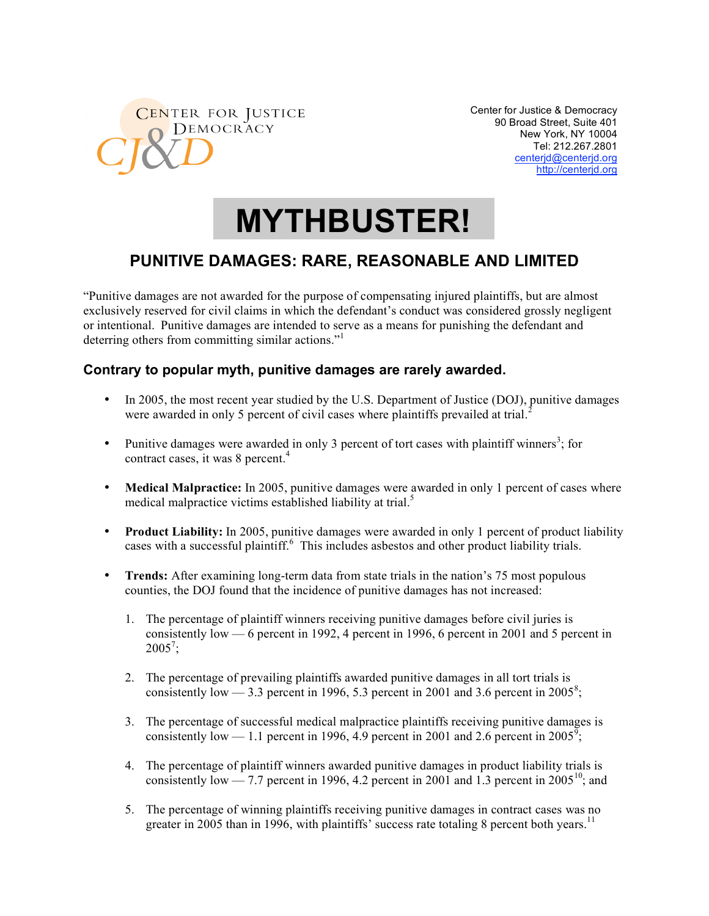

Center for Justice & Democracy 90 Broad Street, Suite 401 New York, NY 10004 Tel: 212.267.2801 centerjd@centerjd.org http://centerjd.org

# **MYTHBUSTER!**

# **PUNITIVE DAMAGES: RARE, REASONABLE AND LIMITED**

"Punitive damages are not awarded for the purpose of compensating injured plaintiffs, but are almost exclusively reserved for civil claims in which the defendant's conduct was considered grossly negligent or intentional. Punitive damages are intended to serve as a means for punishing the defendant and deterring others from committing similar actions."

## **Contrary to popular myth, punitive damages are rarely awarded.**

- In 2005, the most recent year studied by the U.S. Department of Justice (DOJ), punitive damages were awarded in only 5 percent of civil cases where plaintiffs prevailed at trial.<sup>2</sup>
- Punitive damages were awarded in only 3 percent of tort cases with plaintiff winners<sup>3</sup>; for contract cases, it was 8 percent.<sup>4</sup>
- **Medical Malpractice:** In 2005, punitive damages were awarded in only 1 percent of cases where medical malpractice victims established liability at trial.<sup>5</sup>
- **Product Liability:** In 2005, punitive damages were awarded in only 1 percent of product liability cases with a successful plaintiff.<sup>6</sup> This includes asbestos and other product liability trials.
- **Trends:** After examining long-term data from state trials in the nation's 75 most populous counties, the DOJ found that the incidence of punitive damages has not increased:
	- 1. The percentage of plaintiff winners receiving punitive damages before civil juries is consistently low — 6 percent in 1992, 4 percent in 1996, 6 percent in 2001 and 5 percent in  $2005^7;$
	- 2. The percentage of prevailing plaintiffs awarded punitive damages in all tort trials is consistently low — 3.3 percent in 1996, 5.3 percent in 2001 and 3.6 percent in 2005<sup>8</sup>;
	- 3. The percentage of successful medical malpractice plaintiffs receiving punitive damages is consistently low — 1.1 percent in 1996, 4.9 percent in 2001 and 2.6 percent in 2005<sup>9</sup>;
	- 4. The percentage of plaintiff winners awarded punitive damages in product liability trials is consistently low — 7.7 percent in 1996, 4.2 percent in 2001 and 1.3 percent in 2005<sup>10</sup>; and
	- 5. The percentage of winning plaintiffs receiving punitive damages in contract cases was no greater in 2005 than in 1996, with plaintiffs' success rate totaling 8 percent both years.<sup>11</sup>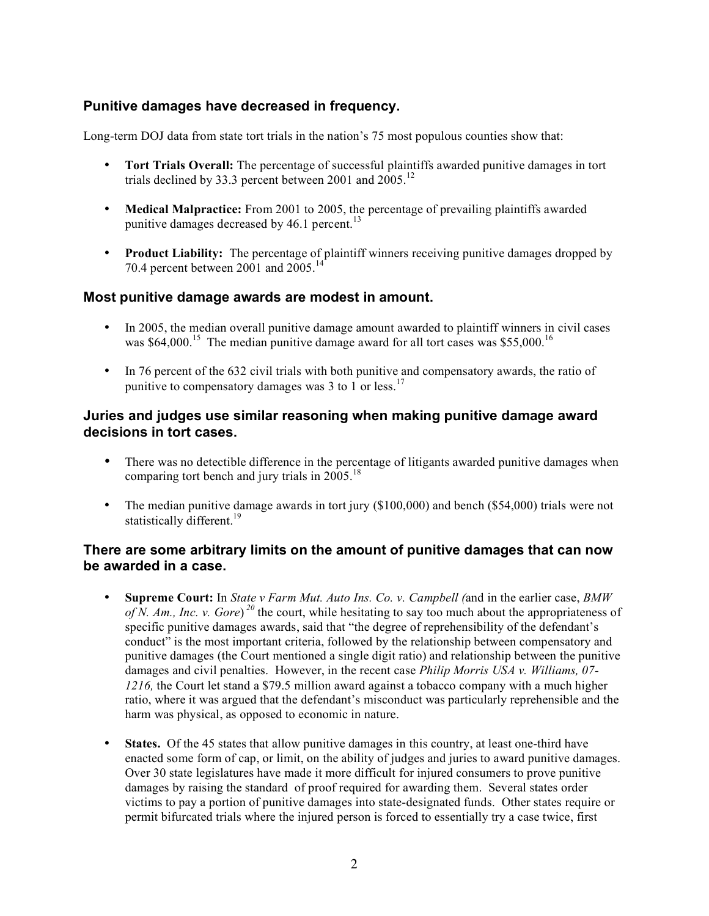### **Punitive damages have decreased in frequency.**

Long-term DOJ data from state tort trials in the nation's 75 most populous counties show that:

- **Tort Trials Overall:** The percentage of successful plaintiffs awarded punitive damages in tort trials declined by 33.3 percent between 2001 and  $2005$ .<sup>12</sup>
- **Medical Malpractice:** From 2001 to 2005, the percentage of prevailing plaintiffs awarded punitive damages decreased by  $46.1$  percent.<sup>13</sup>
- **Product Liability:** The percentage of plaintiff winners receiving punitive damages dropped by 70.4 percent between 2001 and  $2005$ .<sup>14</sup>

#### **Most punitive damage awards are modest in amount.**

- In 2005, the median overall punitive damage amount awarded to plaintiff winners in civil cases was  $$64,000$ <sup>15</sup>. The median punitive damage award for all tort cases was \$55,000<sup>16</sup>
- In 76 percent of the 632 civil trials with both punitive and compensatory awards, the ratio of punitive to compensatory damages was 3 to 1 or less.<sup>17</sup>

#### **Juries and judges use similar reasoning when making punitive damage award decisions in tort cases.**

- There was no detectible difference in the percentage of litigants awarded punitive damages when comparing tort bench and jury trials in  $2005$ .<sup>18</sup>
- The median punitive damage awards in tort jury (\$100,000) and bench (\$54,000) trials were not statistically different.<sup>19</sup>

#### **There are some arbitrary limits on the amount of punitive damages that can now be awarded in a case.**

- **Supreme Court:** In *State v Farm Mut. Auto Ins. Co. v. Campbell (*and in the earlier case, *BMW of N. Am., Inc. v. Gore*) *<sup>20</sup>* the court, while hesitating to say too much about the appropriateness of specific punitive damages awards, said that "the degree of reprehensibility of the defendant's conduct" is the most important criteria, followed by the relationship between compensatory and punitive damages (the Court mentioned a single digit ratio) and relationship between the punitive damages and civil penalties. However, in the recent case *Philip Morris USA v. Williams, 07- 1216,* the Court let stand a \$79.5 million award against a tobacco company with a much higher ratio, where it was argued that the defendant's misconduct was particularly reprehensible and the harm was physical, as opposed to economic in nature.
- **States.** Of the 45 states that allow punitive damages in this country, at least one-third have enacted some form of cap, or limit, on the ability of judges and juries to award punitive damages. Over 30 state legislatures have made it more difficult for injured consumers to prove punitive damages by raising the standard of proof required for awarding them. Several states order victims to pay a portion of punitive damages into state-designated funds. Other states require or permit bifurcated trials where the injured person is forced to essentially try a case twice, first